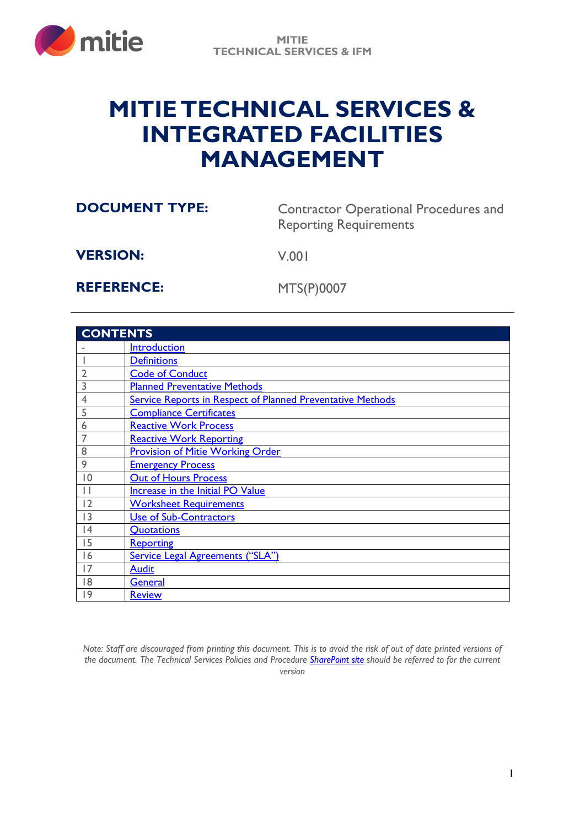

# **MITIETECHNICAL SERVICES & INTEGRATED FACILITIES MANAGEMENT**

**DOCUMENT TYPE:** Contractor Operational Procedures and Reporting Requirements

**VERSION:** V.001

**REFERENCE:** MTS(P)0007

| <b>CONTENTS</b> |                                                                   |
|-----------------|-------------------------------------------------------------------|
|                 | <b>Introduction</b>                                               |
|                 | <b>Definitions</b>                                                |
| $\overline{2}$  | <b>Code of Conduct</b>                                            |
| 3               | <b>Planned Preventative Methods</b>                               |
| $\overline{4}$  | <b>Service Reports in Respect of Planned Preventative Methods</b> |
| 5               | <b>Compliance Certificates</b>                                    |
| 6               | <b>Reactive Work Process</b>                                      |
|                 | <b>Reactive Work Reporting</b>                                    |
| 8               | <b>Provision of Mitie Working Order</b>                           |
| 9               | <b>Emergency Process</b>                                          |
| 0               | <b>Out of Hours Process</b>                                       |
|                 | Increase in the Initial PO Value                                  |
| 12              | <b>Worksheet Requirements</b>                                     |
| 3               | Use of Sub-Contractors                                            |
| 4               | Quotations                                                        |
| 15              | <b>Reporting</b>                                                  |
| 16              | <b>Service Legal Agreements ("SLA")</b>                           |
| 17              | <b>Audit</b>                                                      |
| 18              | <b>General</b>                                                    |
| 19              | <b>Review</b>                                                     |

*Note: Staff are discouraged from printing this document. This is to avoid the risk of out of date printed versions of the document. The Technical Services Policies and Procedure [SharePoint site](https://mitiegrp.sharepoint.com/sites/EngineeringServicesPoliciesandProcedures2) should be referred to for the current version*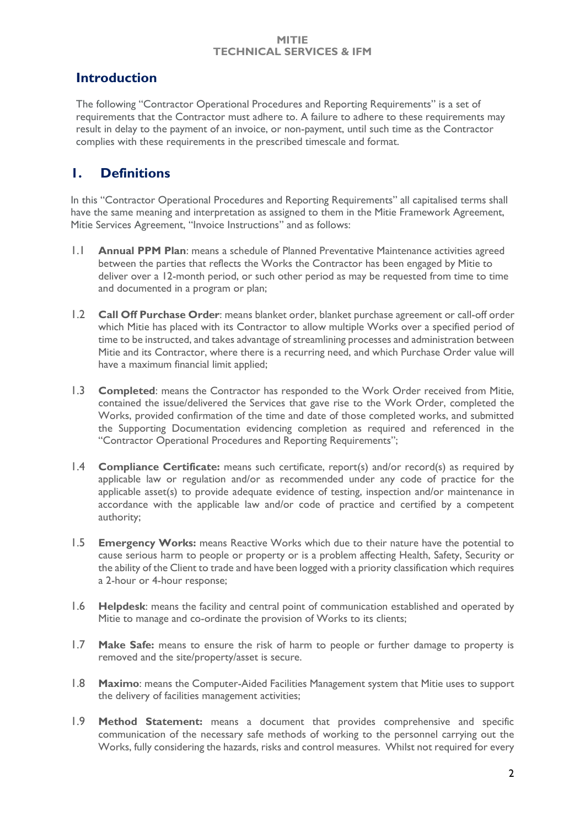### <span id="page-1-0"></span>**Introduction**

The following "Contractor Operational Procedures and Reporting Requirements" is a set of requirements that the Contractor must adhere to. A failure to adhere to these requirements may result in delay to the payment of an invoice, or non-payment, until such time as the Contractor complies with these requirements in the prescribed timescale and format.

### <span id="page-1-1"></span>**1. Definitions**

In this "Contractor Operational Procedures and Reporting Requirements" all capitalised terms shall have the same meaning and interpretation as assigned to them in the Mitie Framework Agreement, Mitie Services Agreement, "Invoice Instructions" and as follows:

- 1.1 **Annual PPM Plan**: means a schedule of Planned Preventative Maintenance activities agreed between the parties that reflects the Works the Contractor has been engaged by Mitie to deliver over a 12-month period, or such other period as may be requested from time to time and documented in a program or plan;
- 1.2 **Call Off Purchase Order**: means blanket order, blanket purchase agreement or call-off order which Mitie has placed with its Contractor to allow multiple Works over a specified period of time to be instructed, and takes advantage of streamlining processes and administration between Mitie and its Contractor, where there is a recurring need, and which Purchase Order value will have a maximum financial limit applied;
- 1.3 **Completed**: means the Contractor has responded to the Work Order received from Mitie, contained the issue/delivered the Services that gave rise to the Work Order, completed the Works, provided confirmation of the time and date of those completed works, and submitted the Supporting Documentation evidencing completion as required and referenced in the "Contractor Operational Procedures and Reporting Requirements";
- 1.4 **Compliance Certificate:** means such certificate, report(s) and/or record(s) as required by applicable law or regulation and/or as recommended under any code of practice for the applicable asset(s) to provide adequate evidence of testing, inspection and/or maintenance in accordance with the applicable law and/or code of practice and certified by a competent authority;
- 1.5 **Emergency Works:** means Reactive Works which due to their nature have the potential to cause serious harm to people or property or is a problem affecting Health, Safety, Security or the ability of the Client to trade and have been logged with a priority classification which requires a 2-hour or 4-hour response;
- 1.6 **Helpdesk**: means the facility and central point of communication established and operated by Mitie to manage and co-ordinate the provision of Works to its clients;
- 1.7 **Make Safe:** means to ensure the risk of harm to people or further damage to property is removed and the site/property/asset is secure.
- 1.8 **Maximo**: means the Computer-Aided Facilities Management system that Mitie uses to support the delivery of facilities management activities;
- 1.9 **Method Statement:** means a document that provides comprehensive and specific communication of the necessary safe methods of working to the personnel carrying out the Works, fully considering the hazards, risks and control measures. Whilst not required for every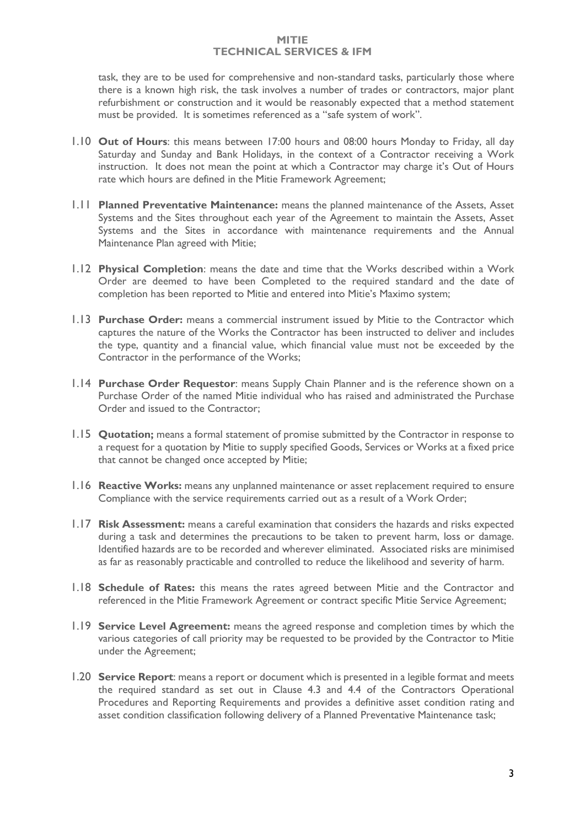task, they are to be used for comprehensive and non-standard tasks, particularly those where there is a known high risk, the task involves a number of trades or contractors, major plant refurbishment or construction and it would be reasonably expected that a method statement must be provided. It is sometimes referenced as a "safe system of work".

- 1.10 **Out of Hours**: this means between 17:00 hours and 08:00 hours Monday to Friday, all day Saturday and Sunday and Bank Holidays, in the context of a Contractor receiving a Work instruction. It does not mean the point at which a Contractor may charge it's Out of Hours rate which hours are defined in the Mitie Framework Agreement;
- 1.11 **Planned Preventative Maintenance:** means the planned maintenance of the Assets, Asset Systems and the Sites throughout each year of the Agreement to maintain the Assets, Asset Systems and the Sites in accordance with maintenance requirements and the Annual Maintenance Plan agreed with Mitie;
- 1.12 **Physical Completion**: means the date and time that the Works described within a Work Order are deemed to have been Completed to the required standard and the date of completion has been reported to Mitie and entered into Mitie's Maximo system;
- 1.13 **Purchase Order:** means a commercial instrument issued by Mitie to the Contractor which captures the nature of the Works the Contractor has been instructed to deliver and includes the type, quantity and a financial value, which financial value must not be exceeded by the Contractor in the performance of the Works;
- 1.14 **Purchase Order Requestor**: means Supply Chain Planner and is the reference shown on a Purchase Order of the named Mitie individual who has raised and administrated the Purchase Order and issued to the Contractor;
- 1.15 **Quotation;** means a formal statement of promise submitted by the Contractor in response to a request for a quotation by Mitie to supply specified Goods, Services or Works at a fixed price that cannot be changed once accepted by Mitie;
- 1.16 **Reactive Works:** means any unplanned maintenance or asset replacement required to ensure Compliance with the service requirements carried out as a result of a Work Order;
- 1.17 **Risk Assessment:** means a careful examination that considers the hazards and risks expected during a task and determines the precautions to be taken to prevent harm, loss or damage. Identified hazards are to be recorded and wherever eliminated. Associated risks are minimised as far as reasonably practicable and controlled to reduce the likelihood and severity of harm.
- 1.18 **Schedule of Rates:** this means the rates agreed between Mitie and the Contractor and referenced in the Mitie Framework Agreement or contract specific Mitie Service Agreement;
- 1.19 **Service Level Agreement:** means the agreed response and completion times by which the various categories of call priority may be requested to be provided by the Contractor to Mitie under the Agreement;
- 1.20 **Service Report**: means a report or document which is presented in a legible format and meets the required standard as set out in Clause 4.3 and 4.4 of the Contractors Operational Procedures and Reporting Requirements and provides a definitive asset condition rating and asset condition classification following delivery of a Planned Preventative Maintenance task;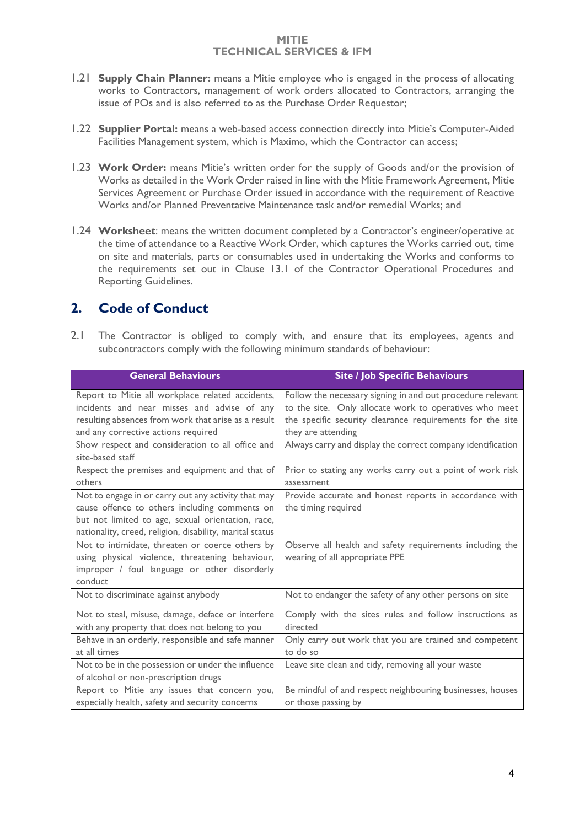- 1.21 **Supply Chain Planner:** means a Mitie employee who is engaged in the process of allocating works to Contractors, management of work orders allocated to Contractors, arranging the issue of POs and is also referred to as the Purchase Order Requestor;
- 1.22 **Supplier Portal:** means a web-based access connection directly into Mitie's Computer-Aided Facilities Management system, which is Maximo, which the Contractor can access;
- 1.23 **Work Order:** means Mitie's written order for the supply of Goods and/or the provision of Works as detailed in the Work Order raised in line with the Mitie Framework Agreement, Mitie Services Agreement or Purchase Order issued in accordance with the requirement of Reactive Works and/or Planned Preventative Maintenance task and/or remedial Works; and
- 1.24 **Worksheet**: means the written document completed by a Contractor's engineer/operative at the time of attendance to a Reactive Work Order, which captures the Works carried out, time on site and materials, parts or consumables used in undertaking the Works and conforms to the requirements set out in Clause 13.1 of the Contractor Operational Procedures and Reporting Guidelines.

### <span id="page-3-0"></span>**2. Code of Conduct**

2.1 The Contractor is obliged to comply with, and ensure that its employees, agents and subcontractors comply with the following minimum standards of behaviour:

| <b>General Behaviours</b>                                                                                                                                                                                             | <b>Site / Job Specific Behaviours</b>                                                                                                                                             |
|-----------------------------------------------------------------------------------------------------------------------------------------------------------------------------------------------------------------------|-----------------------------------------------------------------------------------------------------------------------------------------------------------------------------------|
| Report to Mitie all workplace related accidents,<br>incidents and near misses and advise of any<br>resulting absences from work that arise as a result                                                                | Follow the necessary signing in and out procedure relevant<br>to the site. Only allocate work to operatives who meet<br>the specific security clearance requirements for the site |
| and any corrective actions required<br>Show respect and consideration to all office and<br>site-based staff                                                                                                           | they are attending<br>Always carry and display the correct company identification                                                                                                 |
| Respect the premises and equipment and that of<br>others                                                                                                                                                              | Prior to stating any works carry out a point of work risk<br>assessment                                                                                                           |
| Not to engage in or carry out any activity that may<br>cause offence to others including comments on<br>but not limited to age, sexual orientation, race,<br>nationality, creed, religion, disability, marital status | Provide accurate and honest reports in accordance with<br>the timing required                                                                                                     |
| Not to intimidate, threaten or coerce others by<br>using physical violence, threatening behaviour,<br>improper / foul language or other disorderly<br>conduct                                                         | Observe all health and safety requirements including the<br>wearing of all appropriate PPE                                                                                        |
| Not to discriminate against anybody                                                                                                                                                                                   | Not to endanger the safety of any other persons on site                                                                                                                           |
| Not to steal, misuse, damage, deface or interfere<br>with any property that does not belong to you                                                                                                                    | Comply with the sites rules and follow instructions as<br>directed                                                                                                                |
| Behave in an orderly, responsible and safe manner<br>at all times                                                                                                                                                     | Only carry out work that you are trained and competent<br>to do so                                                                                                                |
| Not to be in the possession or under the influence<br>of alcohol or non-prescription drugs                                                                                                                            | Leave site clean and tidy, removing all your waste                                                                                                                                |
| Report to Mitie any issues that concern you,<br>especially health, safety and security concerns                                                                                                                       | Be mindful of and respect neighbouring businesses, houses<br>or those passing by                                                                                                  |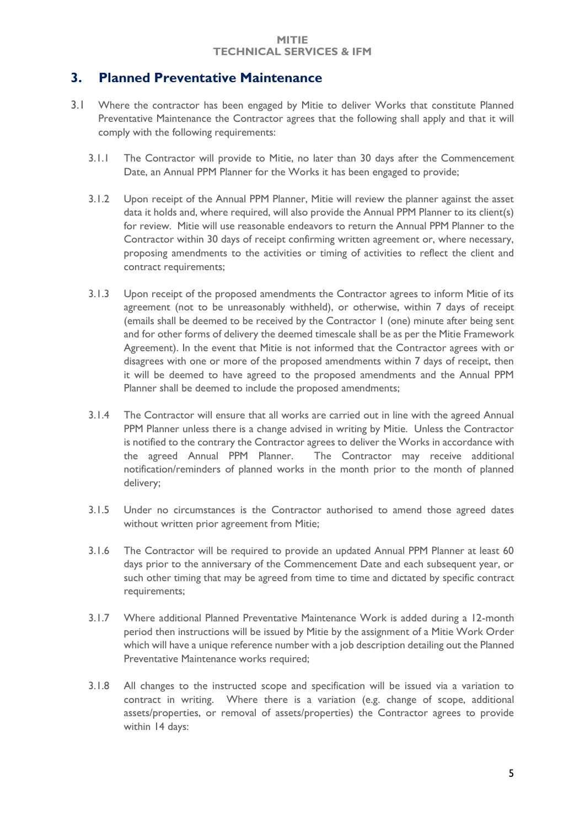### <span id="page-4-0"></span>**3. Planned Preventative Maintenance**

- 3.1 Where the contractor has been engaged by Mitie to deliver Works that constitute Planned Preventative Maintenance the Contractor agrees that the following shall apply and that it will comply with the following requirements:
	- 3.1.1 The Contractor will provide to Mitie, no later than 30 days after the Commencement Date, an Annual PPM Planner for the Works it has been engaged to provide;
	- 3.1.2 Upon receipt of the Annual PPM Planner, Mitie will review the planner against the asset data it holds and, where required, will also provide the Annual PPM Planner to its client(s) for review. Mitie will use reasonable endeavors to return the Annual PPM Planner to the Contractor within 30 days of receipt confirming written agreement or, where necessary, proposing amendments to the activities or timing of activities to reflect the client and contract requirements;
	- 3.1.3 Upon receipt of the proposed amendments the Contractor agrees to inform Mitie of its agreement (not to be unreasonably withheld), or otherwise, within 7 days of receipt (emails shall be deemed to be received by the Contractor 1 (one) minute after being sent and for other forms of delivery the deemed timescale shall be as per the Mitie Framework Agreement). In the event that Mitie is not informed that the Contractor agrees with or disagrees with one or more of the proposed amendments within 7 days of receipt, then it will be deemed to have agreed to the proposed amendments and the Annual PPM Planner shall be deemed to include the proposed amendments;
	- 3.1.4 The Contractor will ensure that all works are carried out in line with the agreed Annual PPM Planner unless there is a change advised in writing by Mitie. Unless the Contractor is notified to the contrary the Contractor agrees to deliver the Works in accordance with the agreed Annual PPM Planner. The Contractor may receive additional notification/reminders of planned works in the month prior to the month of planned delivery;
	- 3.1.5 Under no circumstances is the Contractor authorised to amend those agreed dates without written prior agreement from Mitie;
	- 3.1.6 The Contractor will be required to provide an updated Annual PPM Planner at least 60 days prior to the anniversary of the Commencement Date and each subsequent year, or such other timing that may be agreed from time to time and dictated by specific contract requirements;
	- 3.1.7 Where additional Planned Preventative Maintenance Work is added during a 12-month period then instructions will be issued by Mitie by the assignment of a Mitie Work Order which will have a unique reference number with a job description detailing out the Planned Preventative Maintenance works required;
	- 3.1.8 All changes to the instructed scope and specification will be issued via a variation to contract in writing. Where there is a variation (e.g. change of scope, additional assets/properties, or removal of assets/properties) the Contractor agrees to provide within 14 days: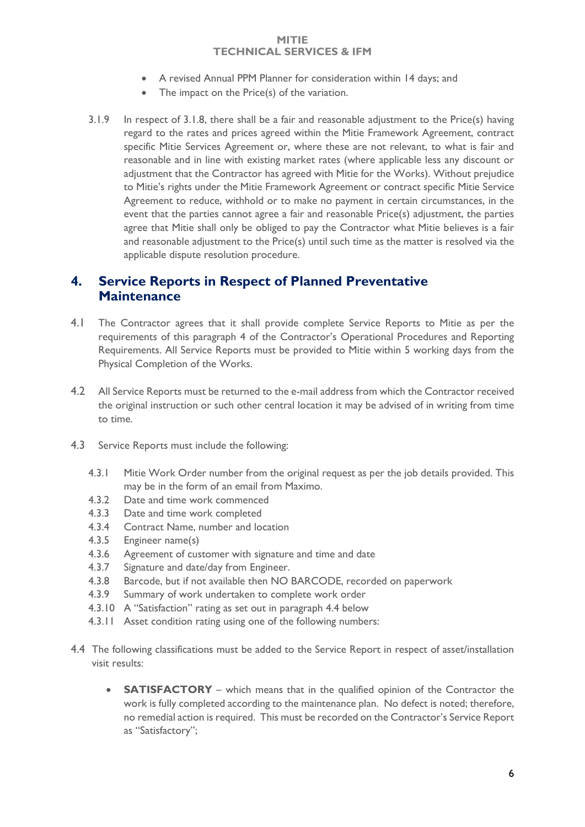- A revised Annual PPM Planner for consideration within 14 days; and
- The impact on the Price(s) of the variation.
- 3.1.9 In respect of 3.1.8, there shall be a fair and reasonable adjustment to the Price(s) having regard to the rates and prices agreed within the Mitie Framework Agreement, contract specific Mitie Services Agreement or, where these are not relevant, to what is fair and reasonable and in line with existing market rates (where applicable less any discount or adjustment that the Contractor has agreed with Mitie for the Works). Without prejudice to Mitie's rights under the Mitie Framework Agreement or contract specific Mitie Service Agreement to reduce, withhold or to make no payment in certain circumstances, in the event that the parties cannot agree a fair and reasonable Price(s) adjustment, the parties agree that Mitie shall only be obliged to pay the Contractor what Mitie believes is a fair and reasonable adjustment to the Price(s) until such time as the matter is resolved via the applicable dispute resolution procedure.

### <span id="page-5-0"></span>**4. Service Reports in Respect of Planned Preventative Maintenance**

- 4.1 The Contractor agrees that it shall provide complete Service Reports to Mitie as per the requirements of this paragraph 4 of the Contractor's Operational Procedures and Reporting Requirements. All Service Reports must be provided to Mitie within 5 working days from the Physical Completion of the Works.
- 4.2 All Service Reports must be returned to the e-mail address from which the Contractor received the original instruction or such other central location it may be advised of in writing from time to time.
- 4.3 Service Reports must include the following:
	- 4.3.1 Mitie Work Order number from the original request as per the job details provided. This may be in the form of an email from Maximo.
	- 4.3.2 Date and time work commenced
	- 4.3.3 Date and time work completed
	- 4.3.4 Contract Name, number and location
	- 4.3.5 Engineer name(s)
	- 4.3.6 Agreement of customer with signature and time and date
	- 4.3.7 Signature and date/day from Engineer.
	- 4.3.8 Barcode, but if not available then NO BARCODE, recorded on paperwork
	- 4.3.9 Summary of work undertaken to complete work order
	- 4.3.10 A "Satisfaction" rating as set out in paragraph 4.4 below
	- 4.3.11 Asset condition rating using one of the following numbers:
- 4.4 The following classifications must be added to the Service Report in respect of asset/installation visit results:
	- **SATISFACTORY** which means that in the qualified opinion of the Contractor the work is fully completed according to the maintenance plan. No defect is noted; therefore, no remedial action is required. This must be recorded on the Contractor's Service Report as "Satisfactory";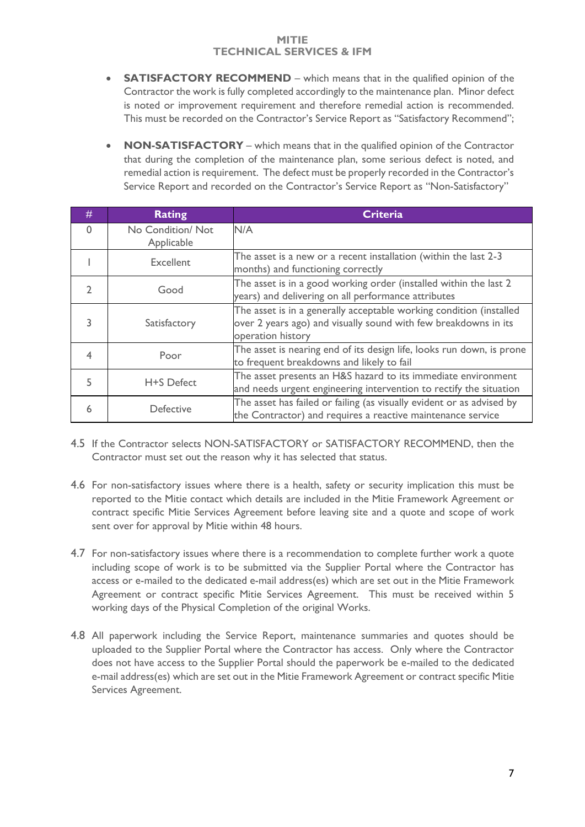- **SATISFACTORY RECOMMEND** which means that in the qualified opinion of the Contractor the work is fully completed accordingly to the maintenance plan. Minor defect is noted or improvement requirement and therefore remedial action is recommended. This must be recorded on the Contractor's Service Report as "Satisfactory Recommend";
- **NON-SATISFACTORY** which means that in the qualified opinion of the Contractor that during the completion of the maintenance plan, some serious defect is noted, and remedial action is requirement. The defect must be properly recorded in the Contractor's Service Report and recorded on the Contractor's Service Report as "Non-Satisfactory"

| #        | <b>Rating</b>                  | <b>Criteria</b>                                                                                                                                             |
|----------|--------------------------------|-------------------------------------------------------------------------------------------------------------------------------------------------------------|
| $\Omega$ | No Condition/Not<br>Applicable | N/A                                                                                                                                                         |
|          | Excellent                      | The asset is a new or a recent installation (within the last 2-3<br>months) and functioning correctly                                                       |
|          | Good                           | The asset is in a good working order (installed within the last 2<br>years) and delivering on all performance attributes                                    |
| 3        | Satisfactory                   | The asset is in a generally acceptable working condition (installed<br>over 2 years ago) and visually sound with few breakdowns in its<br>operation history |
| 4        | Poor                           | The asset is nearing end of its design life, looks run down, is prone<br>to frequent breakdowns and likely to fail                                          |
| 5        | H+S Defect                     | The asset presents an H&S hazard to its immediate environment<br>and needs urgent engineering intervention to rectify the situation                         |
| 6        | <b>Defective</b>               | The asset has failed or failing (as visually evident or as advised by<br>the Contractor) and requires a reactive maintenance service                        |

- 4.5 If the Contractor selects NON-SATISFACTORY or SATISFACTORY RECOMMEND, then the Contractor must set out the reason why it has selected that status.
- 4.6 For non-satisfactory issues where there is a health, safety or security implication this must be reported to the Mitie contact which details are included in the Mitie Framework Agreement or contract specific Mitie Services Agreement before leaving site and a quote and scope of work sent over for approval by Mitie within 48 hours.
- 4.7 For non-satisfactory issues where there is a recommendation to complete further work a quote including scope of work is to be submitted via the Supplier Portal where the Contractor has access or e-mailed to the dedicated e-mail address(es) which are set out in the Mitie Framework Agreement or contract specific Mitie Services Agreement. This must be received within 5 working days of the Physical Completion of the original Works.
- 4.8 All paperwork including the Service Report, maintenance summaries and quotes should be uploaded to the Supplier Portal where the Contractor has access. Only where the Contractor does not have access to the Supplier Portal should the paperwork be e-mailed to the dedicated e-mail address(es) which are set out in the Mitie Framework Agreement or contract specific Mitie Services Agreement.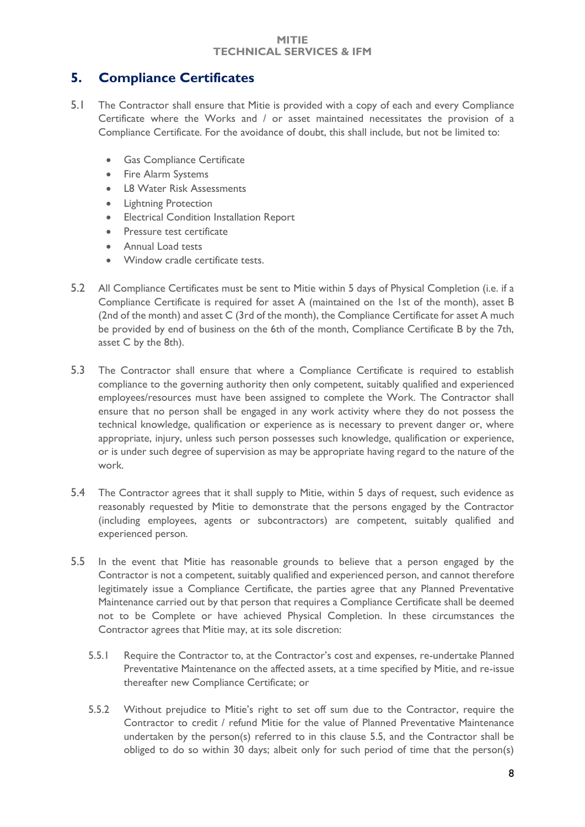### <span id="page-7-0"></span>**5. Compliance Certificates**

- 5.1 The Contractor shall ensure that Mitie is provided with a copy of each and every Compliance Certificate where the Works and / or asset maintained necessitates the provision of a Compliance Certificate. For the avoidance of doubt, this shall include, but not be limited to:
	- Gas Compliance Certificate
	- Fire Alarm Systems
	- L8 Water Risk Assessments
	- Lightning Protection
	- Electrical Condition Installation Report
	- Pressure test certificate
	- Annual Load tests
	- Window cradle certificate tests.
- 5.2 All Compliance Certificates must be sent to Mitie within 5 days of Physical Completion (i.e. if a Compliance Certificate is required for asset A (maintained on the 1st of the month), asset B (2nd of the month) and asset C (3rd of the month), the Compliance Certificate for asset A much be provided by end of business on the 6th of the month, Compliance Certificate B by the 7th, asset C by the 8th).
- 5.3 The Contractor shall ensure that where a Compliance Certificate is required to establish compliance to the governing authority then only competent, suitably qualified and experienced employees/resources must have been assigned to complete the Work. The Contractor shall ensure that no person shall be engaged in any work activity where they do not possess the technical knowledge, qualification or experience as is necessary to prevent danger or, where appropriate, injury, unless such person possesses such knowledge, qualification or experience, or is under such degree of supervision as may be appropriate having regard to the nature of the work.
- 5.4 The Contractor agrees that it shall supply to Mitie, within 5 days of request, such evidence as reasonably requested by Mitie to demonstrate that the persons engaged by the Contractor (including employees, agents or subcontractors) are competent, suitably qualified and experienced person.
- 5.5 In the event that Mitie has reasonable grounds to believe that a person engaged by the Contractor is not a competent, suitably qualified and experienced person, and cannot therefore legitimately issue a Compliance Certificate, the parties agree that any Planned Preventative Maintenance carried out by that person that requires a Compliance Certificate shall be deemed not to be Complete or have achieved Physical Completion. In these circumstances the Contractor agrees that Mitie may, at its sole discretion:
	- 5.5.1 Require the Contractor to, at the Contractor's cost and expenses, re-undertake Planned Preventative Maintenance on the affected assets, at a time specified by Mitie, and re-issue thereafter new Compliance Certificate; or
	- 5.5.2 Without prejudice to Mitie's right to set off sum due to the Contractor, require the Contractor to credit / refund Mitie for the value of Planned Preventative Maintenance undertaken by the person(s) referred to in this clause 5.5, and the Contractor shall be obliged to do so within 30 days; albeit only for such period of time that the person(s)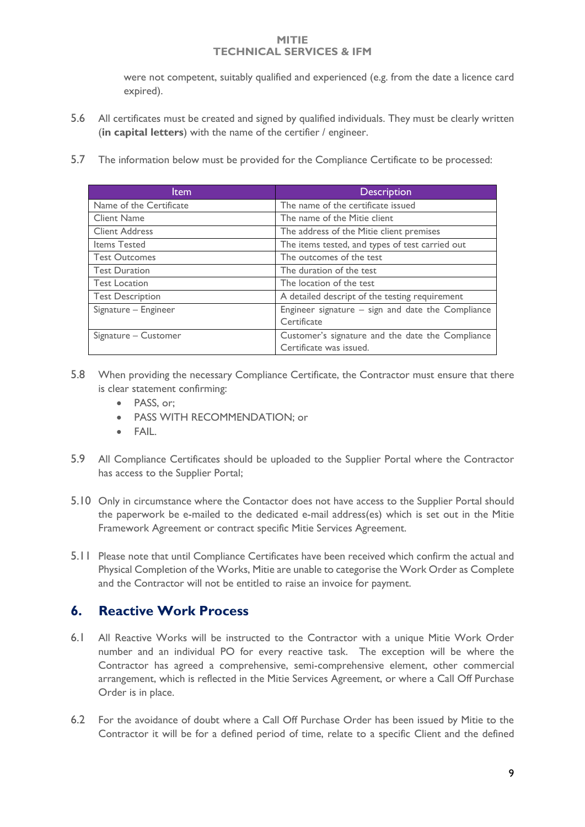were not competent, suitably qualified and experienced (e.g. from the date a licence card expired).

- 5.6 All certificates must be created and signed by qualified individuals. They must be clearly written (**in capital letters**) with the name of the certifier / engineer.
- 5.7 The information below must be provided for the Compliance Certificate to be processed:

| ltem                    | <b>Description</b>                                                          |  |  |  |  |
|-------------------------|-----------------------------------------------------------------------------|--|--|--|--|
| Name of the Certificate | The name of the certificate issued                                          |  |  |  |  |
| <b>Client Name</b>      | The name of the Mitie client                                                |  |  |  |  |
| <b>Client Address</b>   | The address of the Mitie client premises                                    |  |  |  |  |
| Items Tested            | The items tested, and types of test carried out                             |  |  |  |  |
| <b>Test Outcomes</b>    | The outcomes of the test                                                    |  |  |  |  |
| <b>Test Duration</b>    | The duration of the test                                                    |  |  |  |  |
| <b>Test Location</b>    | The location of the test                                                    |  |  |  |  |
| <b>Test Description</b> | A detailed descript of the testing requirement                              |  |  |  |  |
| Signature - Engineer    | Engineer signature $-$ sign and date the Compliance<br>Certificate          |  |  |  |  |
| Signature – Customer    | Customer's signature and the date the Compliance<br>Certificate was issued. |  |  |  |  |

- 5.8 When providing the necessary Compliance Certificate, the Contractor must ensure that there is clear statement confirming:
	- PASS, or:
	- PASS WITH RECOMMENDATION; or
	- FAIL.
- 5.9 All Compliance Certificates should be uploaded to the Supplier Portal where the Contractor has access to the Supplier Portal;
- 5.10 Only in circumstance where the Contactor does not have access to the Supplier Portal should the paperwork be e-mailed to the dedicated e-mail address(es) which is set out in the Mitie Framework Agreement or contract specific Mitie Services Agreement.
- 5.11 Please note that until Compliance Certificates have been received which confirm the actual and Physical Completion of the Works, Mitie are unable to categorise the Work Order as Complete and the Contractor will not be entitled to raise an invoice for payment.

### <span id="page-8-0"></span>**6. Reactive Work Process**

- 6.1 All Reactive Works will be instructed to the Contractor with a unique Mitie Work Order number and an individual PO for every reactive task. The exception will be where the Contractor has agreed a comprehensive, semi-comprehensive element, other commercial arrangement, which is reflected in the Mitie Services Agreement, or where a Call Off Purchase Order is in place.
- 6.2 For the avoidance of doubt where a Call Off Purchase Order has been issued by Mitie to the Contractor it will be for a defined period of time, relate to a specific Client and the defined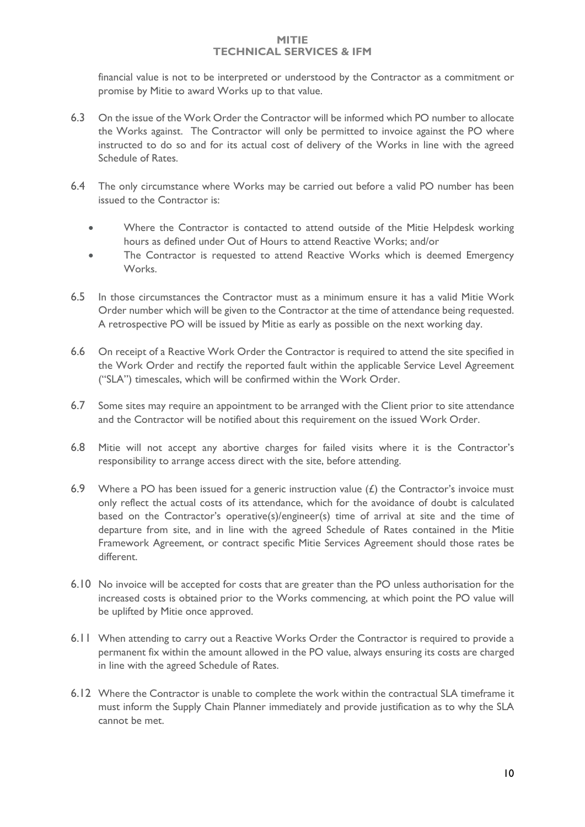financial value is not to be interpreted or understood by the Contractor as a commitment or promise by Mitie to award Works up to that value.

- 6.3 On the issue of the Work Order the Contractor will be informed which PO number to allocate the Works against. The Contractor will only be permitted to invoice against the PO where instructed to do so and for its actual cost of delivery of the Works in line with the agreed Schedule of Rates.
- 6.4 The only circumstance where Works may be carried out before a valid PO number has been issued to the Contractor is:
	- Where the Contractor is contacted to attend outside of the Mitie Helpdesk working hours as defined under Out of Hours to attend Reactive Works; and/or
	- The Contractor is requested to attend Reactive Works which is deemed Emergency Works.
- 6.5 In those circumstances the Contractor must as a minimum ensure it has a valid Mitie Work Order number which will be given to the Contractor at the time of attendance being requested. A retrospective PO will be issued by Mitie as early as possible on the next working day.
- 6.6 On receipt of a Reactive Work Order the Contractor is required to attend the site specified in the Work Order and rectify the reported fault within the applicable Service Level Agreement ("SLA") timescales, which will be confirmed within the Work Order.
- 6.7 Some sites may require an appointment to be arranged with the Client prior to site attendance and the Contractor will be notified about this requirement on the issued Work Order.
- 6.8 Mitie will not accept any abortive charges for failed visits where it is the Contractor's responsibility to arrange access direct with the site, before attending.
- 6.9 Where a PO has been issued for a generic instruction value  $(E)$  the Contractor's invoice must only reflect the actual costs of its attendance, which for the avoidance of doubt is calculated based on the Contractor's operative(s)/engineer(s) time of arrival at site and the time of departure from site, and in line with the agreed Schedule of Rates contained in the Mitie Framework Agreement, or contract specific Mitie Services Agreement should those rates be different.
- 6.10 No invoice will be accepted for costs that are greater than the PO unless authorisation for the increased costs is obtained prior to the Works commencing, at which point the PO value will be uplifted by Mitie once approved.
- 6.11 When attending to carry out a Reactive Works Order the Contractor is required to provide a permanent fix within the amount allowed in the PO value, always ensuring its costs are charged in line with the agreed Schedule of Rates.
- 6.12 Where the Contractor is unable to complete the work within the contractual SLA timeframe it must inform the Supply Chain Planner immediately and provide justification as to why the SLA cannot be met.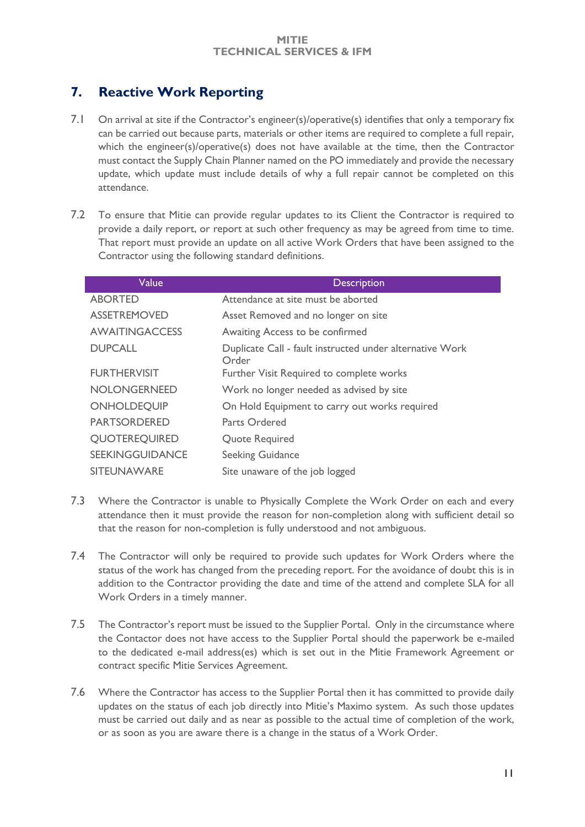### <span id="page-10-0"></span>**7. Reactive Work Reporting**

- 7.1 On arrival at site if the Contractor's engineer(s)/operative(s) identifies that only a temporary fix can be carried out because parts, materials or other items are required to complete a full repair, which the engineer(s)/operative(s) does not have available at the time, then the Contractor must contact the Supply Chain Planner named on the PO immediately and provide the necessary update, which update must include details of why a full repair cannot be completed on this attendance.
- 7.2 To ensure that Mitie can provide regular updates to its Client the Contractor is required to provide a daily report, or report at such other frequency as may be agreed from time to time. That report must provide an update on all active Work Orders that have been assigned to the Contractor using the following standard definitions.

| Value                  | <b>Description</b>                                                |
|------------------------|-------------------------------------------------------------------|
| <b>ABORTED</b>         | Attendance at site must be aborted                                |
| <b>ASSETREMOVED</b>    | Asset Removed and no longer on site                               |
| <b>AWAITINGACCESS</b>  | Awaiting Access to be confirmed                                   |
| <b>DUPCALL</b>         | Duplicate Call - fault instructed under alternative Work<br>Order |
| <b>FURTHERVISIT</b>    | Further Visit Required to complete works                          |
| <b>NOLONGERNEED</b>    | Work no longer needed as advised by site                          |
| <b>ONHOLDEQUIP</b>     | On Hold Equipment to carry out works required                     |
| <b>PARTSORDERED</b>    | Parts Ordered                                                     |
| <b>QUOTEREQUIRED</b>   | Quote Required                                                    |
| <b>SEEKINGGUIDANCE</b> | Seeking Guidance                                                  |
| <b>SITEUNAWARE</b>     | Site unaware of the job logged                                    |

- 7.3 Where the Contractor is unable to Physically Complete the Work Order on each and every attendance then it must provide the reason for non-completion along with sufficient detail so that the reason for non-completion is fully understood and not ambiguous.
- 7.4 The Contractor will only be required to provide such updates for Work Orders where the status of the work has changed from the preceding report. For the avoidance of doubt this is in addition to the Contractor providing the date and time of the attend and complete SLA for all Work Orders in a timely manner.
- 7.5 The Contractor's report must be issued to the Supplier Portal. Only in the circumstance where the Contactor does not have access to the Supplier Portal should the paperwork be e-mailed to the dedicated e-mail address(es) which is set out in the Mitie Framework Agreement or contract specific Mitie Services Agreement.
- 7.6 Where the Contractor has access to the Supplier Portal then it has committed to provide daily updates on the status of each job directly into Mitie's Maximo system. As such those updates must be carried out daily and as near as possible to the actual time of completion of the work, or as soon as you are aware there is a change in the status of a Work Order.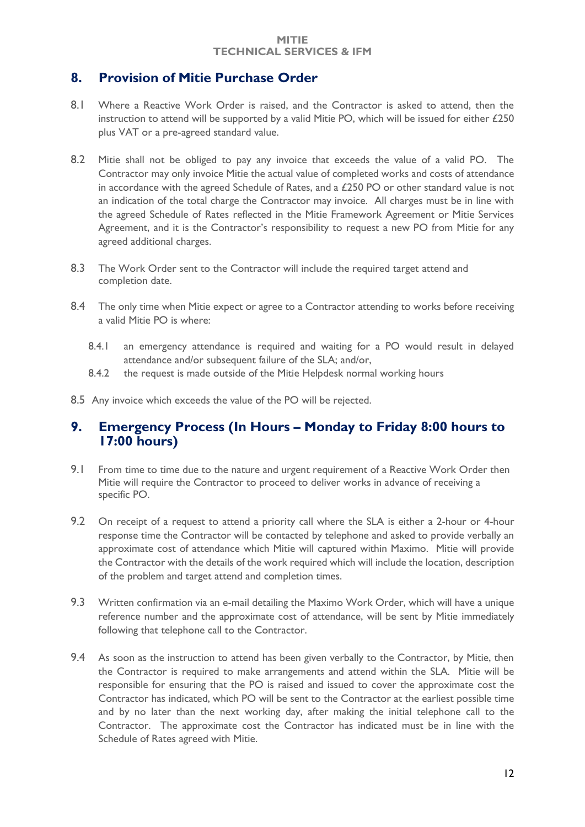### <span id="page-11-0"></span>**8. Provision of Mitie Purchase Order**

- 8.1 Where a Reactive Work Order is raised, and the Contractor is asked to attend, then the instruction to attend will be supported by a valid Mitie PO, which will be issued for either £250 plus VAT or a pre-agreed standard value.
- 8.2 Mitie shall not be obliged to pay any invoice that exceeds the value of a valid PO. The Contractor may only invoice Mitie the actual value of completed works and costs of attendance in accordance with the agreed Schedule of Rates, and a £250 PO or other standard value is not an indication of the total charge the Contractor may invoice. All charges must be in line with the agreed Schedule of Rates reflected in the Mitie Framework Agreement or Mitie Services Agreement, and it is the Contractor's responsibility to request a new PO from Mitie for any agreed additional charges.
- 8.3 The Work Order sent to the Contractor will include the required target attend and completion date.
- 8.4 The only time when Mitie expect or agree to a Contractor attending to works before receiving a valid Mitie PO is where:
	- 8.4.1 an emergency attendance is required and waiting for a PO would result in delayed attendance and/or subsequent failure of the SLA; and/or,
	- 8.4.2 the request is made outside of the Mitie Helpdesk normal working hours
- 8.5 Any invoice which exceeds the value of the PO will be rejected.

### <span id="page-11-1"></span>**9. Emergency Process (In Hours – Monday to Friday 8:00 hours to 17:00 hours)**

- 9.1 From time to time due to the nature and urgent requirement of a Reactive Work Order then Mitie will require the Contractor to proceed to deliver works in advance of receiving a specific PO.
- 9.2 On receipt of a request to attend a priority call where the SLA is either a 2-hour or 4-hour response time the Contractor will be contacted by telephone and asked to provide verbally an approximate cost of attendance which Mitie will captured within Maximo. Mitie will provide the Contractor with the details of the work required which will include the location, description of the problem and target attend and completion times.
- 9.3 Written confirmation via an e-mail detailing the Maximo Work Order, which will have a unique reference number and the approximate cost of attendance, will be sent by Mitie immediately following that telephone call to the Contractor.
- 9.4 As soon as the instruction to attend has been given verbally to the Contractor, by Mitie, then the Contractor is required to make arrangements and attend within the SLA. Mitie will be responsible for ensuring that the PO is raised and issued to cover the approximate cost the Contractor has indicated, which PO will be sent to the Contractor at the earliest possible time and by no later than the next working day, after making the initial telephone call to the Contractor. The approximate cost the Contractor has indicated must be in line with the Schedule of Rates agreed with Mitie.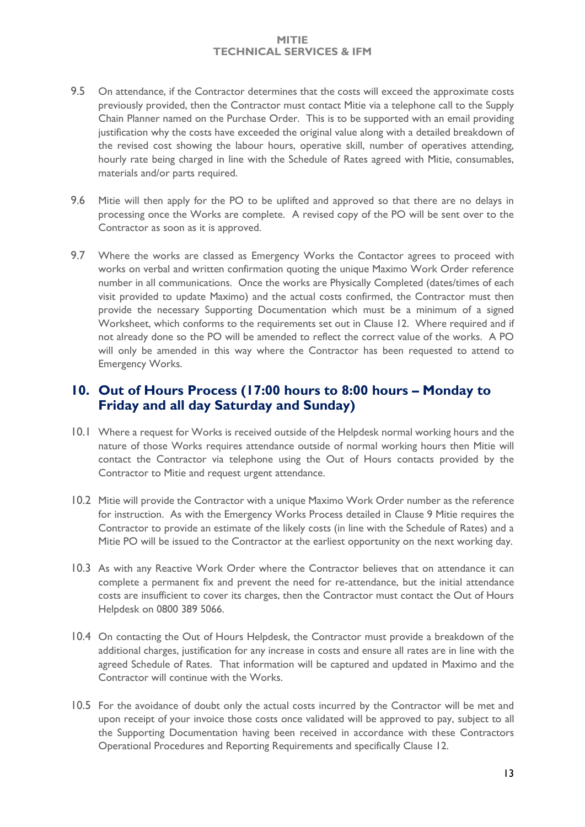- 9.5 On attendance, if the Contractor determines that the costs will exceed the approximate costs previously provided, then the Contractor must contact Mitie via a telephone call to the Supply Chain Planner named on the Purchase Order. This is to be supported with an email providing justification why the costs have exceeded the original value along with a detailed breakdown of the revised cost showing the labour hours, operative skill, number of operatives attending, hourly rate being charged in line with the Schedule of Rates agreed with Mitie, consumables, materials and/or parts required.
- 9.6 Mitie will then apply for the PO to be uplifted and approved so that there are no delays in processing once the Works are complete. A revised copy of the PO will be sent over to the Contractor as soon as it is approved.
- 9.7 Where the works are classed as Emergency Works the Contactor agrees to proceed with works on verbal and written confirmation quoting the unique Maximo Work Order reference number in all communications. Once the works are Physically Completed (dates/times of each visit provided to update Maximo) and the actual costs confirmed, the Contractor must then provide the necessary Supporting Documentation which must be a minimum of a signed Worksheet, which conforms to the requirements set out in Clause 12. Where required and if not already done so the PO will be amended to reflect the correct value of the works. A PO will only be amended in this way where the Contractor has been requested to attend to Emergency Works.

### <span id="page-12-0"></span>**10. Out of Hours Process (17:00 hours to 8:00 hours – Monday to Friday and all day Saturday and Sunday)**

- 10.1 Where a request for Works is received outside of the Helpdesk normal working hours and the nature of those Works requires attendance outside of normal working hours then Mitie will contact the Contractor via telephone using the Out of Hours contacts provided by the Contractor to Mitie and request urgent attendance.
- 10.2 Mitie will provide the Contractor with a unique Maximo Work Order number as the reference for instruction. As with the Emergency Works Process detailed in Clause 9 Mitie requires the Contractor to provide an estimate of the likely costs (in line with the Schedule of Rates) and a Mitie PO will be issued to the Contractor at the earliest opportunity on the next working day.
- 10.3 As with any Reactive Work Order where the Contractor believes that on attendance it can complete a permanent fix and prevent the need for re-attendance, but the initial attendance costs are insufficient to cover its charges, then the Contractor must contact the Out of Hours Helpdesk on 0800 389 5066.
- 10.4 On contacting the Out of Hours Helpdesk, the Contractor must provide a breakdown of the additional charges, justification for any increase in costs and ensure all rates are in line with the agreed Schedule of Rates. That information will be captured and updated in Maximo and the Contractor will continue with the Works.
- 10.5 For the avoidance of doubt only the actual costs incurred by the Contractor will be met and upon receipt of your invoice those costs once validated will be approved to pay, subject to all the Supporting Documentation having been received in accordance with these Contractors Operational Procedures and Reporting Requirements and specifically Clause 12.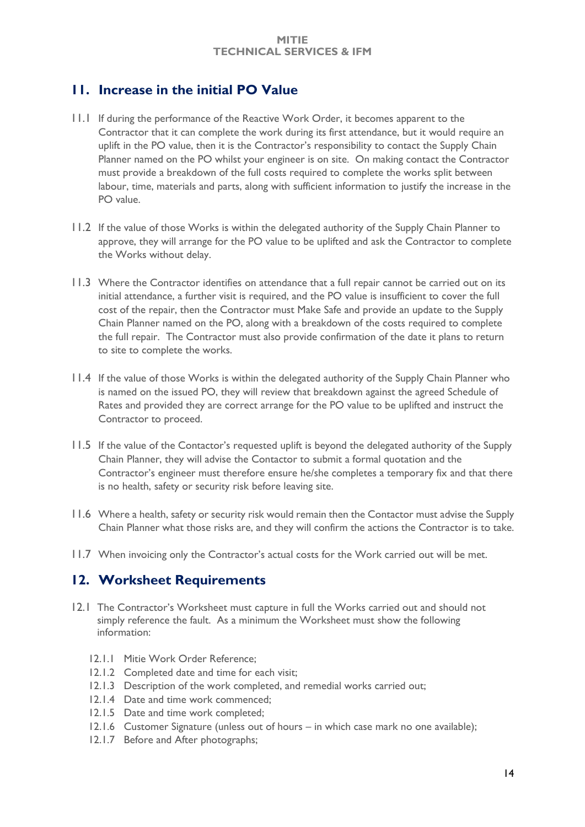### <span id="page-13-0"></span>**11. Increase in the initial PO Value**

- 11.1 If during the performance of the Reactive Work Order, it becomes apparent to the Contractor that it can complete the work during its first attendance, but it would require an uplift in the PO value, then it is the Contractor's responsibility to contact the Supply Chain Planner named on the PO whilst your engineer is on site. On making contact the Contractor must provide a breakdown of the full costs required to complete the works split between labour, time, materials and parts, along with sufficient information to justify the increase in the PO value.
- 11.2 If the value of those Works is within the delegated authority of the Supply Chain Planner to approve, they will arrange for the PO value to be uplifted and ask the Contractor to complete the Works without delay.
- 11.3 Where the Contractor identifies on attendance that a full repair cannot be carried out on its initial attendance, a further visit is required, and the PO value is insufficient to cover the full cost of the repair, then the Contractor must Make Safe and provide an update to the Supply Chain Planner named on the PO, along with a breakdown of the costs required to complete the full repair. The Contractor must also provide confirmation of the date it plans to return to site to complete the works.
- 11.4 If the value of those Works is within the delegated authority of the Supply Chain Planner who is named on the issued PO, they will review that breakdown against the agreed Schedule of Rates and provided they are correct arrange for the PO value to be uplifted and instruct the Contractor to proceed.
- 11.5 If the value of the Contactor's requested uplift is beyond the delegated authority of the Supply Chain Planner, they will advise the Contactor to submit a formal quotation and the Contractor's engineer must therefore ensure he/she completes a temporary fix and that there is no health, safety or security risk before leaving site.
- 11.6 Where a health, safety or security risk would remain then the Contactor must advise the Supply Chain Planner what those risks are, and they will confirm the actions the Contractor is to take.
- 11.7 When invoicing only the Contractor's actual costs for the Work carried out will be met.

### <span id="page-13-1"></span>**12. Worksheet Requirements**

- 12.1 The Contractor's Worksheet must capture in full the Works carried out and should not simply reference the fault. As a minimum the Worksheet must show the following information:
	- 12.1.1 Mitie Work Order Reference;
	- 12.1.2 Completed date and time for each visit;
	- 12.1.3 Description of the work completed, and remedial works carried out;
	- 12.1.4 Date and time work commenced;
	- 12.1.5 Date and time work completed;
	- 12.1.6 Customer Signature (unless out of hours in which case mark no one available);
	- 12.1.7 Before and After photographs;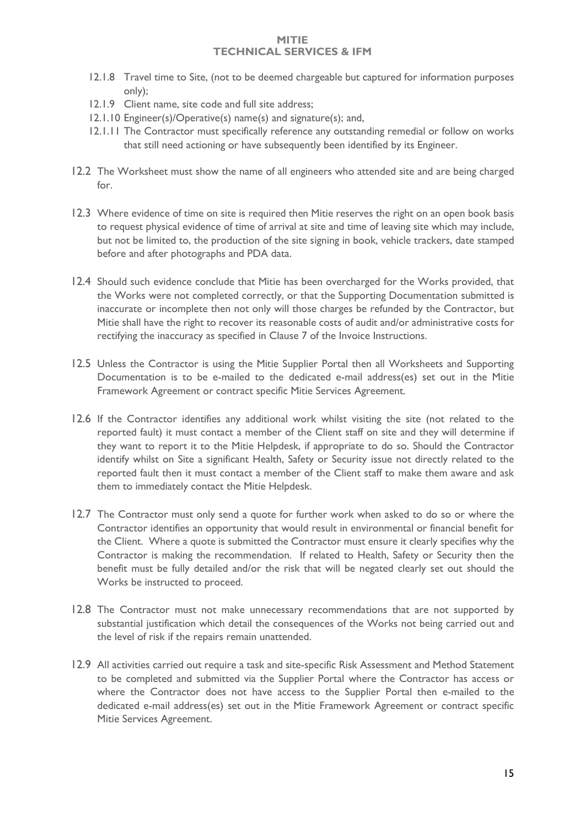- 12.1.8 Travel time to Site, (not to be deemed chargeable but captured for information purposes only);
- 12.1.9 Client name, site code and full site address;
- 12.1.10 Engineer(s)/Operative(s) name(s) and signature(s); and,
- 12.1.11 The Contractor must specifically reference any outstanding remedial or follow on works that still need actioning or have subsequently been identified by its Engineer.
- 12.2 The Worksheet must show the name of all engineers who attended site and are being charged for.
- 12.3 Where evidence of time on site is required then Mitie reserves the right on an open book basis to request physical evidence of time of arrival at site and time of leaving site which may include, but not be limited to, the production of the site signing in book, vehicle trackers, date stamped before and after photographs and PDA data.
- 12.4 Should such evidence conclude that Mitie has been overcharged for the Works provided, that the Works were not completed correctly, or that the Supporting Documentation submitted is inaccurate or incomplete then not only will those charges be refunded by the Contractor, but Mitie shall have the right to recover its reasonable costs of audit and/or administrative costs for rectifying the inaccuracy as specified in Clause 7 of the Invoice Instructions.
- 12.5 Unless the Contractor is using the Mitie Supplier Portal then all Worksheets and Supporting Documentation is to be e-mailed to the dedicated e-mail address(es) set out in the Mitie Framework Agreement or contract specific Mitie Services Agreement.
- 12.6 If the Contractor identifies any additional work whilst visiting the site (not related to the reported fault) it must contact a member of the Client staff on site and they will determine if they want to report it to the Mitie Helpdesk, if appropriate to do so. Should the Contractor identify whilst on Site a significant Health, Safety or Security issue not directly related to the reported fault then it must contact a member of the Client staff to make them aware and ask them to immediately contact the Mitie Helpdesk.
- 12.7 The Contractor must only send a quote for further work when asked to do so or where the Contractor identifies an opportunity that would result in environmental or financial benefit for the Client. Where a quote is submitted the Contractor must ensure it clearly specifies why the Contractor is making the recommendation. If related to Health, Safety or Security then the benefit must be fully detailed and/or the risk that will be negated clearly set out should the Works be instructed to proceed.
- 12.8 The Contractor must not make unnecessary recommendations that are not supported by substantial justification which detail the consequences of the Works not being carried out and the level of risk if the repairs remain unattended.
- 12.9 All activities carried out require a task and site-specific Risk Assessment and Method Statement to be completed and submitted via the Supplier Portal where the Contractor has access or where the Contractor does not have access to the Supplier Portal then e-mailed to the dedicated e-mail address(es) set out in the Mitie Framework Agreement or contract specific Mitie Services Agreement.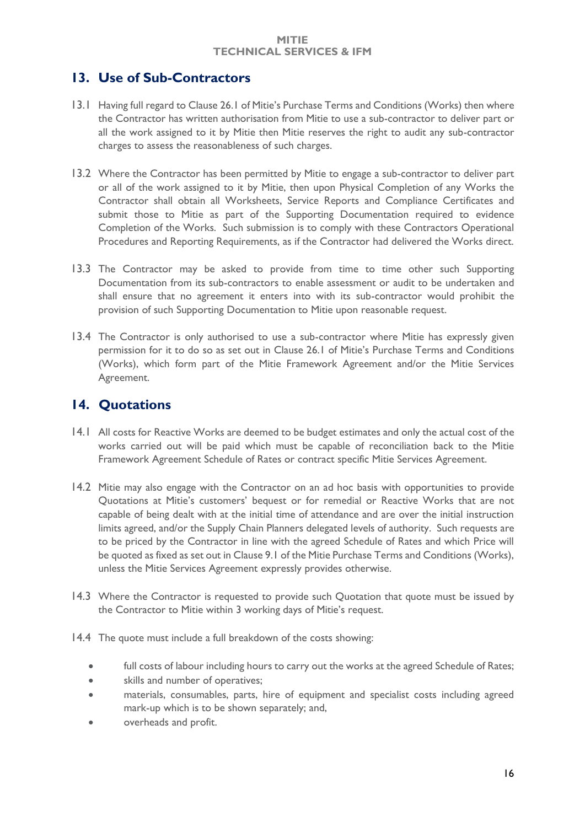### <span id="page-15-0"></span>**13. Use of Sub-Contractors**

- 13.1 Having full regard to Clause 26.1 of Mitie's Purchase Terms and Conditions (Works) then where the Contractor has written authorisation from Mitie to use a sub-contractor to deliver part or all the work assigned to it by Mitie then Mitie reserves the right to audit any sub-contractor charges to assess the reasonableness of such charges.
- 13.2 Where the Contractor has been permitted by Mitie to engage a sub-contractor to deliver part or all of the work assigned to it by Mitie, then upon Physical Completion of any Works the Contractor shall obtain all Worksheets, Service Reports and Compliance Certificates and submit those to Mitie as part of the Supporting Documentation required to evidence Completion of the Works. Such submission is to comply with these Contractors Operational Procedures and Reporting Requirements, as if the Contractor had delivered the Works direct.
- 13.3 The Contractor may be asked to provide from time to time other such Supporting Documentation from its sub-contractors to enable assessment or audit to be undertaken and shall ensure that no agreement it enters into with its sub-contractor would prohibit the provision of such Supporting Documentation to Mitie upon reasonable request.
- 13.4 The Contractor is only authorised to use a sub-contractor where Mitie has expressly given permission for it to do so as set out in Clause 26.1 of Mitie's Purchase Terms and Conditions (Works), which form part of the Mitie Framework Agreement and/or the Mitie Services Agreement.

### <span id="page-15-1"></span>**14. Quotations**

- 14.1 All costs for Reactive Works are deemed to be budget estimates and only the actual cost of the works carried out will be paid which must be capable of reconciliation back to the Mitie Framework Agreement Schedule of Rates or contract specific Mitie Services Agreement.
- 14.2 Mitie may also engage with the Contractor on an ad hoc basis with opportunities to provide Quotations at Mitie's customers' bequest or for remedial or Reactive Works that are not capable of being dealt with at the initial time of attendance and are over the initial instruction limits agreed, and/or the Supply Chain Planners delegated levels of authority. Such requests are to be priced by the Contractor in line with the agreed Schedule of Rates and which Price will be quoted as fixed as set out in Clause 9.1 of the Mitie Purchase Terms and Conditions (Works), unless the Mitie Services Agreement expressly provides otherwise.
- 14.3 Where the Contractor is requested to provide such Quotation that quote must be issued by the Contractor to Mitie within 3 working days of Mitie's request.
- 14.4 The quote must include a full breakdown of the costs showing:
	- full costs of labour including hours to carry out the works at the agreed Schedule of Rates;
	- skills and number of operatives;
	- materials, consumables, parts, hire of equipment and specialist costs including agreed mark-up which is to be shown separately; and,
	- overheads and profit.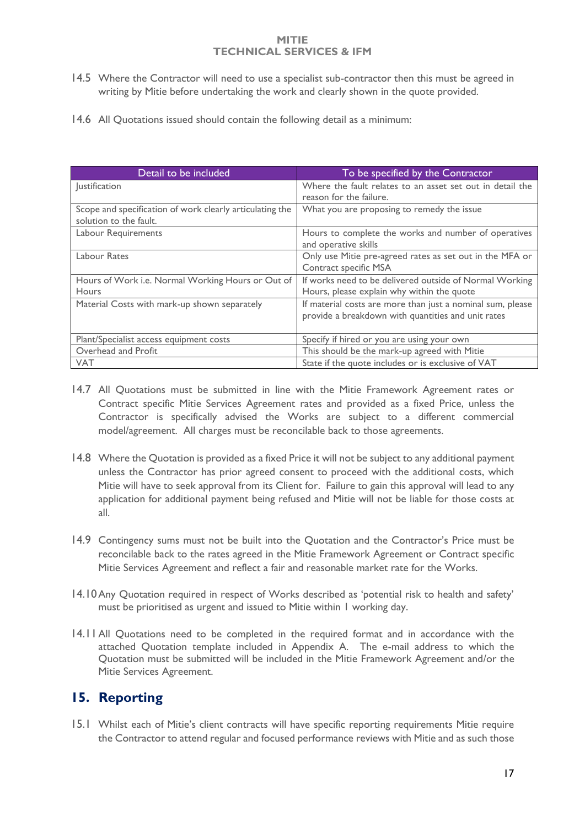- 14.5 Where the Contractor will need to use a specialist sub-contractor then this must be agreed in writing by Mitie before undertaking the work and clearly shown in the quote provided.
- 14.6 All Quotations issued should contain the following detail as a minimum:

| Detail to be included                                                              | To be specified by the Contractor                                                                                |  |  |  |  |
|------------------------------------------------------------------------------------|------------------------------------------------------------------------------------------------------------------|--|--|--|--|
| Justification                                                                      | Where the fault relates to an asset set out in detail the<br>reason for the failure.                             |  |  |  |  |
| Scope and specification of work clearly articulating the<br>solution to the fault. | What you are proposing to remedy the issue                                                                       |  |  |  |  |
| Labour Requirements                                                                | Hours to complete the works and number of operatives<br>and operative skills                                     |  |  |  |  |
| Labour Rates                                                                       | Only use Mitie pre-agreed rates as set out in the MFA or<br>Contract specific MSA                                |  |  |  |  |
| Hours of Work i.e. Normal Working Hours or Out of<br><b>Hours</b>                  | If works need to be delivered outside of Normal Working<br>Hours, please explain why within the quote            |  |  |  |  |
| Material Costs with mark-up shown separately                                       | If material costs are more than just a nominal sum, please<br>provide a breakdown with quantities and unit rates |  |  |  |  |
| Plant/Specialist access equipment costs                                            | Specify if hired or you are using your own                                                                       |  |  |  |  |
| Overhead and Profit                                                                | This should be the mark-up agreed with Mitie                                                                     |  |  |  |  |
| <b>VAT</b>                                                                         | State if the quote includes or is exclusive of VAT                                                               |  |  |  |  |

- 14.7 All Quotations must be submitted in line with the Mitie Framework Agreement rates or Contract specific Mitie Services Agreement rates and provided as a fixed Price, unless the Contractor is specifically advised the Works are subject to a different commercial model/agreement. All charges must be reconcilable back to those agreements.
- 14.8 Where the Quotation is provided as a fixed Price it will not be subject to any additional payment unless the Contractor has prior agreed consent to proceed with the additional costs, which Mitie will have to seek approval from its Client for. Failure to gain this approval will lead to any application for additional payment being refused and Mitie will not be liable for those costs at all.
- 14.9 Contingency sums must not be built into the Quotation and the Contractor's Price must be reconcilable back to the rates agreed in the Mitie Framework Agreement or Contract specific Mitie Services Agreement and reflect a fair and reasonable market rate for the Works.
- 14.10Any Quotation required in respect of Works described as 'potential risk to health and safety' must be prioritised as urgent and issued to Mitie within 1 working day.
- 14.11All Quotations need to be completed in the required format and in accordance with the attached Quotation template included in Appendix A. The e-mail address to which the Quotation must be submitted will be included in the Mitie Framework Agreement and/or the Mitie Services Agreement.

### <span id="page-16-0"></span>**15. Reporting**

15.1 Whilst each of Mitie's client contracts will have specific reporting requirements Mitie require the Contractor to attend regular and focused performance reviews with Mitie and as such those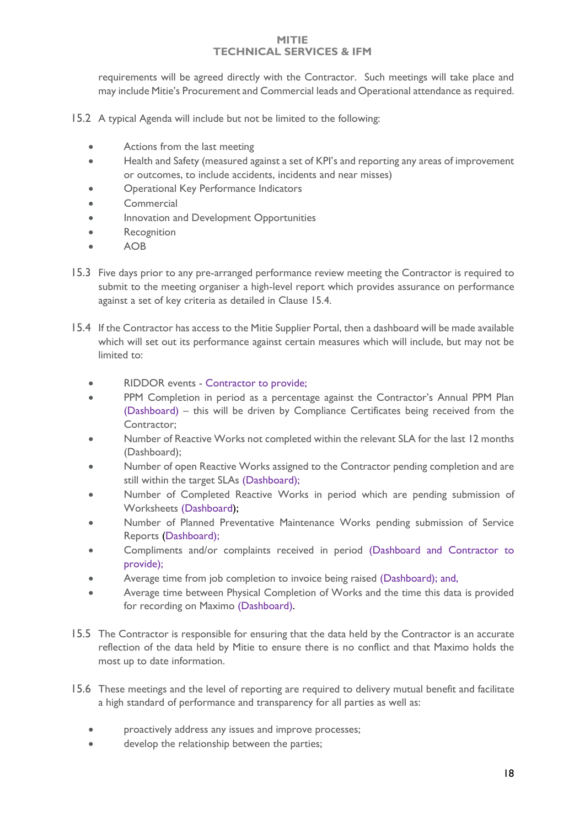requirements will be agreed directly with the Contractor. Such meetings will take place and may include Mitie's Procurement and Commercial leads and Operational attendance as required.

- 15.2 A typical Agenda will include but not be limited to the following:
	- Actions from the last meeting
	- Health and Safety (measured against a set of KPI's and reporting any areas of improvement or outcomes, to include accidents, incidents and near misses)
	- Operational Key Performance Indicators
	- Commercial
	- Innovation and Development Opportunities
	- Recognition
	- AOB
- 15.3 Five days prior to any pre-arranged performance review meeting the Contractor is required to submit to the meeting organiser a high-level report which provides assurance on performance against a set of key criteria as detailed in Clause 15.4.
- 15.4 If the Contractor has access to the Mitie Supplier Portal, then a dashboard will be made available which will set out its performance against certain measures which will include, but may not be limited to:
	- RIDDOR events Contractor to provide;
	- PPM Completion in period as a percentage against the Contractor's Annual PPM Plan (Dashboard) – this will be driven by Compliance Certificates being received from the Contractor;
	- Number of Reactive Works not completed within the relevant SLA for the last 12 months (Dashboard);
	- Number of open Reactive Works assigned to the Contractor pending completion and are still within the target SLAs (Dashboard);
	- Number of Completed Reactive Works in period which are pending submission of Worksheets (Dashboard);
	- Number of Planned Preventative Maintenance Works pending submission of Service Reports (Dashboard);
	- Compliments and/or complaints received in period (Dashboard and Contractor to provide);
	- Average time from job completion to invoice being raised (Dashboard); and,
	- Average time between Physical Completion of Works and the time this data is provided for recording on Maximo (Dashboard).
- 15.5 The Contractor is responsible for ensuring that the data held by the Contractor is an accurate reflection of the data held by Mitie to ensure there is no conflict and that Maximo holds the most up to date information.
- 15.6 These meetings and the level of reporting are required to delivery mutual benefit and facilitate a high standard of performance and transparency for all parties as well as:
	- proactively address any issues and improve processes;
	- develop the relationship between the parties;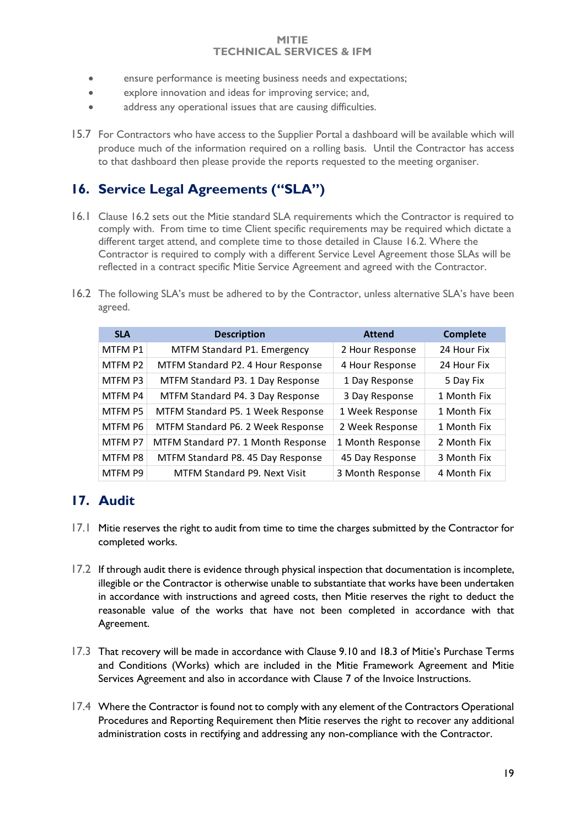- ensure performance is meeting business needs and expectations;
- explore innovation and ideas for improving service; and,
- address any operational issues that are causing difficulties.
- 15.7 For Contractors who have access to the Supplier Portal a dashboard will be available which will produce much of the information required on a rolling basis. Until the Contractor has access to that dashboard then please provide the reports requested to the meeting organiser.

### <span id="page-18-0"></span>**16. Service Legal Agreements ("SLA")**

- 16.1 Clause 16.2 sets out the Mitie standard SLA requirements which the Contractor is required to comply with. From time to time Client specific requirements may be required which dictate a different target attend, and complete time to those detailed in Clause 16.2. Where the Contractor is required to comply with a different Service Level Agreement those SLAs will be reflected in a contract specific Mitie Service Agreement and agreed with the Contractor.
- 16.2 The following SLA's must be adhered to by the Contractor, unless alternative SLA's have been agreed.

| <b>SLA</b> | <b>Description</b>                 | <b>Attend</b>    | <b>Complete</b> |
|------------|------------------------------------|------------------|-----------------|
| MTFM P1    | MTFM Standard P1. Emergency        | 2 Hour Response  | 24 Hour Fix     |
| MTFM P2    | MTFM Standard P2. 4 Hour Response  | 4 Hour Response  | 24 Hour Fix     |
| MTFM P3    | MTFM Standard P3. 1 Day Response   | 1 Day Response   | 5 Day Fix       |
| MTFM P4    | MTFM Standard P4. 3 Day Response   | 3 Day Response   | 1 Month Fix     |
| MTFM P5    | MTFM Standard P5. 1 Week Response  | 1 Week Response  | 1 Month Fix     |
| MTFM P6    | MTFM Standard P6. 2 Week Response  | 2 Week Response  | 1 Month Fix     |
| MTFM P7    | MTFM Standard P7. 1 Month Response | 1 Month Response | 2 Month Fix     |
| MTFM P8    | MTFM Standard P8. 45 Day Response  | 45 Day Response  | 3 Month Fix     |
| MTFM P9    | MTFM Standard P9. Next Visit       | 3 Month Response | 4 Month Fix     |

### <span id="page-18-1"></span>**17. Audit**

- 17.1 Mitie reserves the right to audit from time to time the charges submitted by the Contractor for completed works.
- 17.2 If through audit there is evidence through physical inspection that documentation is incomplete, illegible or the Contractor is otherwise unable to substantiate that works have been undertaken in accordance with instructions and agreed costs, then Mitie reserves the right to deduct the reasonable value of the works that have not been completed in accordance with that Agreement.
- 17.3 That recovery will be made in accordance with Clause 9.10 and 18.3 of Mitie's Purchase Terms and Conditions (Works) which are included in the Mitie Framework Agreement and Mitie Services Agreement and also in accordance with Clause 7 of the Invoice Instructions.
- 17.4 Where the Contractor is found not to comply with any element of the Contractors Operational Procedures and Reporting Requirement then Mitie reserves the right to recover any additional administration costs in rectifying and addressing any non-compliance with the Contractor.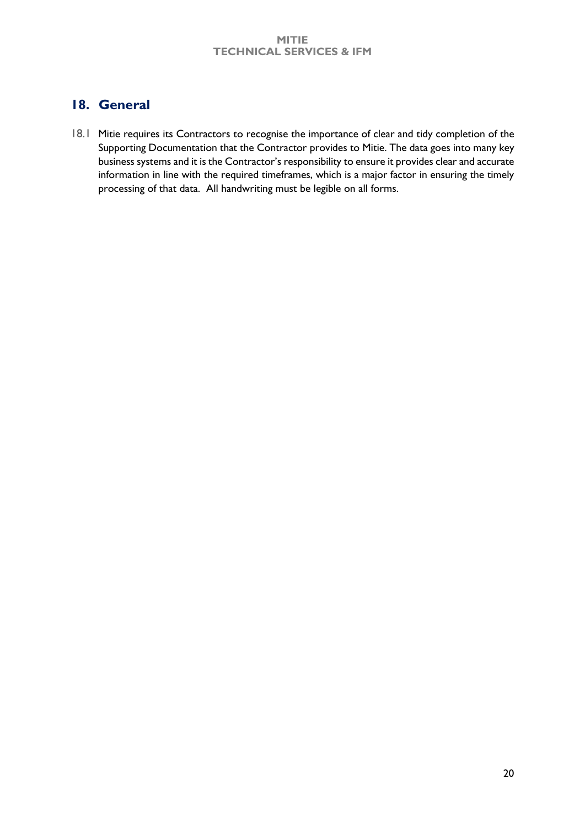### <span id="page-19-0"></span>**18. General**

18.1 Mitie requires its Contractors to recognise the importance of clear and tidy completion of the Supporting Documentation that the Contractor provides to Mitie. The data goes into many key business systems and it is the Contractor's responsibility to ensure it provides clear and accurate information in line with the required timeframes, which is a major factor in ensuring the timely processing of that data. All handwriting must be legible on all forms.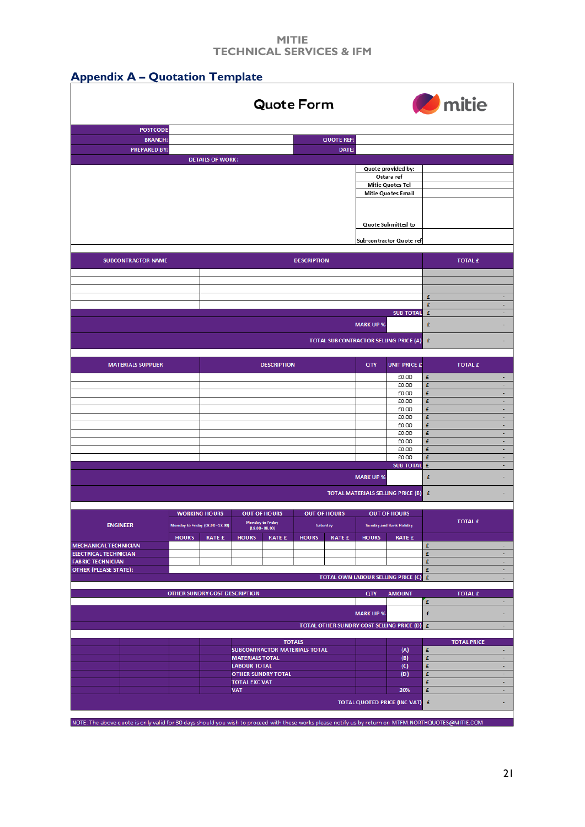|                              |                                      |                                                          |                                    |                                         | <b>Quote Form</b>                              |                     |                  |                                                |                    | <b>O</b> mitie     |   |
|------------------------------|--------------------------------------|----------------------------------------------------------|------------------------------------|-----------------------------------------|------------------------------------------------|---------------------|------------------|------------------------------------------------|--------------------|--------------------|---|
| <b>POSTCODE</b>              |                                      |                                                          |                                    |                                         |                                                |                     |                  |                                                |                    |                    |   |
| <b>BRANCH:</b>               |                                      |                                                          |                                    |                                         |                                                | <b>QUOTE REF:</b>   |                  |                                                |                    |                    |   |
| <b>PREPARED BY:</b>          |                                      |                                                          |                                    |                                         |                                                | DATE:               |                  |                                                |                    |                    |   |
|                              |                                      | <b>DETAILS OF WORK:</b>                                  |                                    |                                         |                                                |                     |                  |                                                |                    |                    |   |
|                              |                                      |                                                          |                                    |                                         |                                                |                     |                  | Quote provided by:<br>Ostara ref               |                    |                    |   |
|                              |                                      |                                                          |                                    |                                         |                                                |                     |                  | Mitie Quotes Tel                               |                    |                    |   |
|                              |                                      |                                                          |                                    |                                         |                                                |                     |                  | Mitie Quotes Email                             |                    |                    |   |
|                              |                                      |                                                          |                                    |                                         |                                                |                     |                  |                                                |                    |                    |   |
|                              |                                      |                                                          |                                    |                                         |                                                |                     |                  | Quote Submitted to                             |                    |                    |   |
|                              |                                      |                                                          |                                    |                                         |                                                |                     |                  | Sub-contractor Quote ref                       |                    |                    |   |
| <b>SUBCONTRACTOR NAME</b>    |                                      |                                                          |                                    |                                         | <b>DESCRIPTION</b>                             |                     |                  |                                                |                    | <b>TOTAL £</b>     |   |
|                              |                                      |                                                          |                                    |                                         |                                                |                     |                  |                                                |                    |                    |   |
|                              |                                      |                                                          |                                    |                                         |                                                |                     |                  |                                                |                    |                    |   |
|                              |                                      |                                                          |                                    |                                         |                                                |                     |                  |                                                | £<br>£             |                    | × |
|                              |                                      |                                                          |                                    |                                         |                                                |                     |                  | <b>SUB TOTAL</b>                               | £                  |                    |   |
|                              |                                      |                                                          |                                    |                                         |                                                |                     | <b>MARK UP %</b> |                                                | £                  |                    |   |
|                              |                                      |                                                          |                                    |                                         |                                                |                     |                  | TOTAL SUBCONTRACTOR SELUNG PRICE (A)           | $\pmb{\mathsf{E}}$ |                    |   |
|                              |                                      |                                                          |                                    |                                         |                                                |                     |                  |                                                |                    |                    |   |
| <b>MATERIALS SUPPLIER</b>    |                                      |                                                          |                                    | <b>DESCRIPTION</b>                      |                                                |                     | QTY              | <b>UNIT PRICE £</b>                            |                    | <b>TOTAL £</b>     |   |
|                              |                                      |                                                          |                                    |                                         |                                                |                     |                  | £0.00<br>£0.00                                 | £<br>£             |                    |   |
|                              |                                      |                                                          |                                    |                                         |                                                |                     |                  | £0.00                                          | £                  |                    |   |
|                              |                                      |                                                          |                                    |                                         |                                                |                     |                  | £0.00                                          | £                  |                    |   |
|                              |                                      |                                                          |                                    |                                         |                                                |                     |                  | £0.00<br>£0.00                                 | £<br>£             |                    |   |
|                              |                                      |                                                          |                                    |                                         |                                                |                     |                  | £0.00                                          | £                  |                    |   |
|                              |                                      |                                                          |                                    |                                         |                                                |                     |                  | £0.00                                          | £                  |                    |   |
|                              |                                      |                                                          |                                    |                                         |                                                |                     |                  | £0.00                                          | £                  |                    |   |
|                              |                                      |                                                          |                                    |                                         |                                                |                     |                  | £0.00<br>£0.00                                 | £<br>£             |                    |   |
|                              |                                      |                                                          |                                    |                                         |                                                |                     |                  | <b>SUB TOTAL</b>                               | £                  |                    |   |
|                              |                                      |                                                          |                                    |                                         |                                                |                     | <b>MARK UP %</b> |                                                | £                  |                    |   |
|                              |                                      |                                                          |                                    |                                         |                                                |                     |                  | <b>TOTAL MATERIALS SELLING PRICE (B) £</b>     |                    |                    |   |
|                              |                                      |                                                          |                                    |                                         |                                                |                     |                  |                                                |                    |                    |   |
| <b>ENGINEER</b>              |                                      | <b>WORKING HOURS</b><br>Monday to Friday (08.00 - 18.00) |                                    | <b>OUT OF HOURS</b><br>Monday to Friday | Saturday                                       | <b>OUT OF HOURS</b> |                  | <b>OUT OF HOURS</b><br>Sunday and Bank Holiday |                    | <b>TOTAL £</b>     |   |
|                              |                                      |                                                          |                                    | $(18.00 - 08.00)$                       |                                                |                     |                  |                                                |                    |                    |   |
| <b>MECHANICAL TECHNICIAN</b> | <b>HOURS</b>                         | <b>RATE £</b>                                            | <b>HOURS</b>                       | <b>RATE £</b>                           | <b>HOURS</b>                                   | <b>RATE £</b>       | <b>HOURS</b>     | <b>RATE £</b>                                  | £                  |                    |   |
| <b>ELECTRICAL TECHNICIAN</b> |                                      |                                                          |                                    |                                         |                                                |                     |                  |                                                | £                  |                    |   |
| <b>FABRIC TECHNICIAN</b>     |                                      |                                                          |                                    |                                         |                                                |                     |                  |                                                | £                  |                    |   |
| OTHER (PLEASE STATE):        |                                      |                                                          |                                    |                                         |                                                |                     |                  | TOTAL OWN LABOUR SELLING PRICE (C) £           | £                  |                    |   |
|                              |                                      |                                                          |                                    |                                         |                                                |                     |                  |                                                |                    |                    |   |
|                              | <b>OTHER SUNDRY COST DESCRIPTION</b> |                                                          |                                    |                                         |                                                |                     | QTY              | <b>AMOUNT</b>                                  |                    | <b>TOTAL £</b>     |   |
|                              |                                      |                                                          |                                    |                                         |                                                |                     | <b>MARK UP %</b> |                                                | £<br>£             |                    |   |
|                              |                                      |                                                          |                                    |                                         |                                                |                     |                  | TOTAL OTHER SUNDRY COST SELLING PRICE (D) E    |                    |                    |   |
|                              |                                      |                                                          |                                    |                                         |                                                |                     |                  |                                                |                    |                    |   |
|                              |                                      |                                                          |                                    |                                         | <b>TOTALS</b><br>SUBCONTRACTOR MATERIALS TOTAL |                     |                  | (A)                                            | £                  | <b>TOTAL PRICE</b> |   |
|                              |                                      |                                                          | <b>MATERIALS TOTAL</b>             |                                         |                                                |                     |                  | (B)                                            | £                  |                    |   |
|                              |                                      |                                                          |                                    | <b>LABOUR TOTAL</b>                     |                                                |                     |                  | (C)                                            | £                  |                    |   |
|                              |                                      |                                                          |                                    |                                         | <b>OTHER SUNDRY TOTAL</b>                      |                     |                  |                                                |                    |                    |   |
|                              |                                      |                                                          |                                    |                                         |                                                |                     |                  | (D)                                            | £                  |                    |   |
|                              |                                      |                                                          | <b>TOTAL EXC VAT</b><br><b>VAT</b> |                                         |                                                |                     |                  | 20%                                            | £<br>£             |                    |   |

NOTE: The above quote is only valid for 30 days should you wish to proceed with these works please notify us by return on MTFM.NORTHQUOTES@MITIE.COM